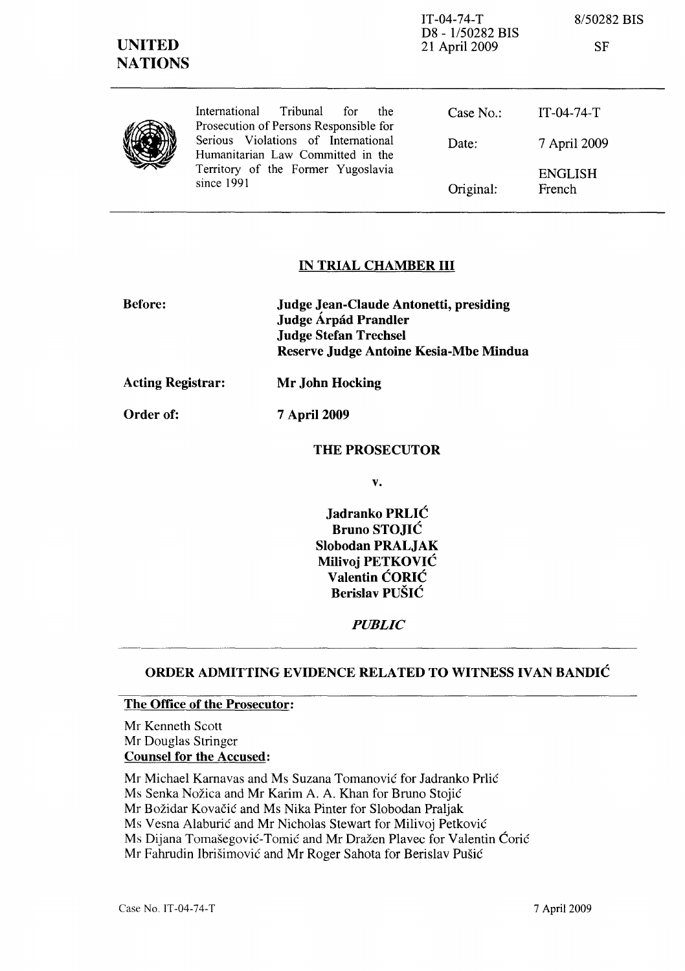| <b>UNITED</b><br><b>NATIONS</b> |                                                                                                                              | $IT-04-74-T$<br>D8 - 1/50282 BIS<br>21 April 2009 | 8/50282 BIS<br><b>SF</b> |
|---------------------------------|------------------------------------------------------------------------------------------------------------------------------|---------------------------------------------------|--------------------------|
|                                 | Tribunal for<br>International<br>the.<br>Prosecution of Persons Responsible for                                              | Case No.:                                         | $IT-04-74-T$             |
|                                 | Serious Violations of International<br>Humanitarian Law Committed in the<br>Territory of the Former Yugoslavia<br>since 1991 | Date:                                             | 7 April 2009             |
|                                 |                                                                                                                              | Original:                                         | <b>ENGLISH</b><br>French |

## IN TRIAL CHAMBER **III**

| <b>Before:</b> | Judge Jean-Claude Antonetti, presiding |
|----------------|----------------------------------------|
|                | Judge Árpád Prandler                   |
|                | <b>Judge Stefan Trechsel</b>           |
|                | Reserve Judge Antoine Kesia-Mbe Mindua |
|                |                                        |

Acting Registrar: Mr John Hocking

Order of: 7 April 2009

### THE PROSECUTOR

v.

Jadranko PRLIĆ Bruno STOJIĆ Slobodan PRALJAK Milivoj PETKOVIĆ Valentin ĆORIĆ Berislav PUŠIĆ

*PUBLIC* 

# ORDER ADMITTING EVIDENCE RELATED TO WITNESS IVAN BANDIĆ

#### The Office of the Prosecutor:

Mr Kenneth Scott Mr Douglas Stringer Counsel for the Accused:

Mr Michael Kamavas and Ms Suzana Tomanović for Jadranko Prlić

Ms Senka Nožica and Mr Karim A. A. Khan for Bruno Stojić

Mr Božidar Kovačić and Ms Nika Pinter for Slobodan Praljak

Ms Vesna Alaburić and Mr Nicholas Stewart for Milivoj Petković

Ms Dijana Tomašegović-Tomić and Mr Dražen Plavec for Valentin Ćorić

Mr Fahrudin Ibrišimović and Mr Roger Sahota for Berislav Pušić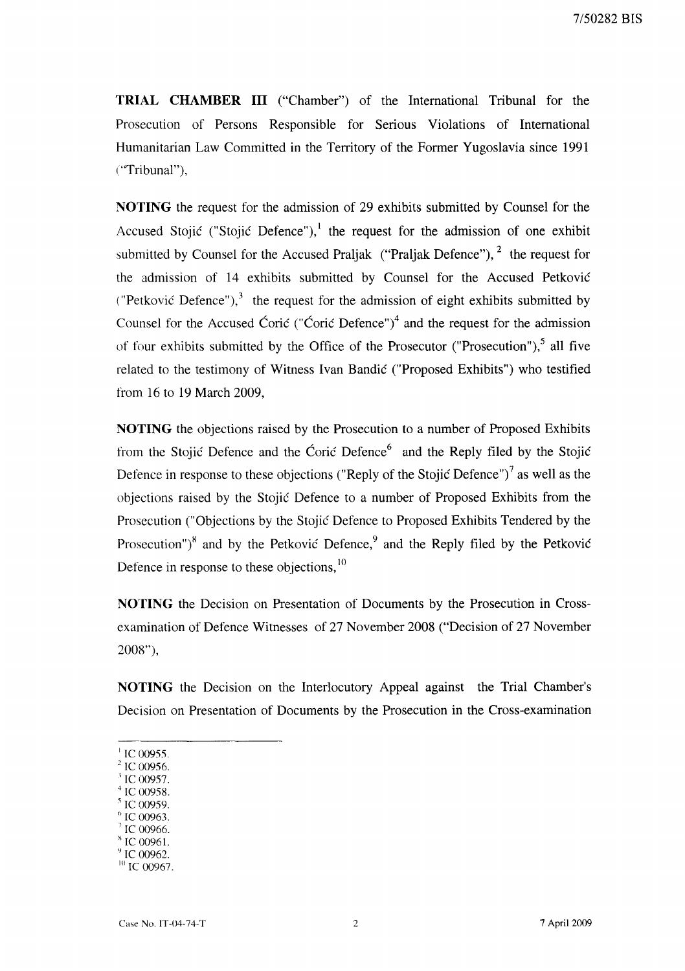**TRIAL CHAMBER III** ("Chamber") of the International Tribunal for the Prosecution of Persons Responsible for Serious Violations of International Humanitarian Law Committed in the Territory of the Former Yugoslavia since 1991 ("Tribunal"),

**NOTING** the request for the admission of 29 exhibits submitted by Counsel for the Accused Stojić ("Stojić Defence"), the request for the admission of one exhibit submitted by Counsel for the Accused Praljak ("Praljak Defence"),  $2$  the request for the admission of 14 exhibits submitted by Counsel for the Accused Petković ("Petković Defence"), $<sup>3</sup>$  the request for the admission of eight exhibits submitted by</sup> Counsel for the Accused Ćorić ("Ćorić Defence")<sup>4</sup> and the request for the admission of four exhibits submitted by the Office of the Prosecutor ("Prosecution"), $5$  all five related to the testimony of Witness Ivan Bandić ("Proposed Exhibits") who testified from 16 to 19 March 2009,

**NOTING** the objections raised by the Prosecution to a number of Proposed Exhibits from the Stojić Defence and the Ćorić Defence<sup>6</sup> and the Reply filed by the Stojić Defence in response to these objections ("Reply of the Stojić Defence")<sup>7</sup> as well as the objections raised by the Stojić Defence to a number of Proposed Exhibits from the Prosecution ("Objections by the Stojić Defence to Proposed Exhibits Tendered by the Prosecution") $<sup>8</sup>$  and by the Petković Defence, $<sup>9</sup>$  and the Reply filed by the Petković</sup></sup> Defence in response to these objections, <sup>10</sup>

**NOTING** the Decision on Presentation of Documents by the Prosecution in Crossexamination of Defence Witnesses of 27 November 2008 ("Decision of 27 November 2008"),

**NOTING** the Decision on the Interlocutory Appeal against the Trial Chamber's Decision on Presentation of Documents by the Prosecution in the Cross-examination

- $\mathrm{^{1}}$  IC 00955.
- $^{2}$  IC 00956.
- $\degree$  IC 00957.
- $^{4}$  IC 00958.
- <sup>5</sup> IC 00959. IC 00963
- IC 00966.
- IC 00961.
- IC 00962.

 $10^{10}$  IC 00967.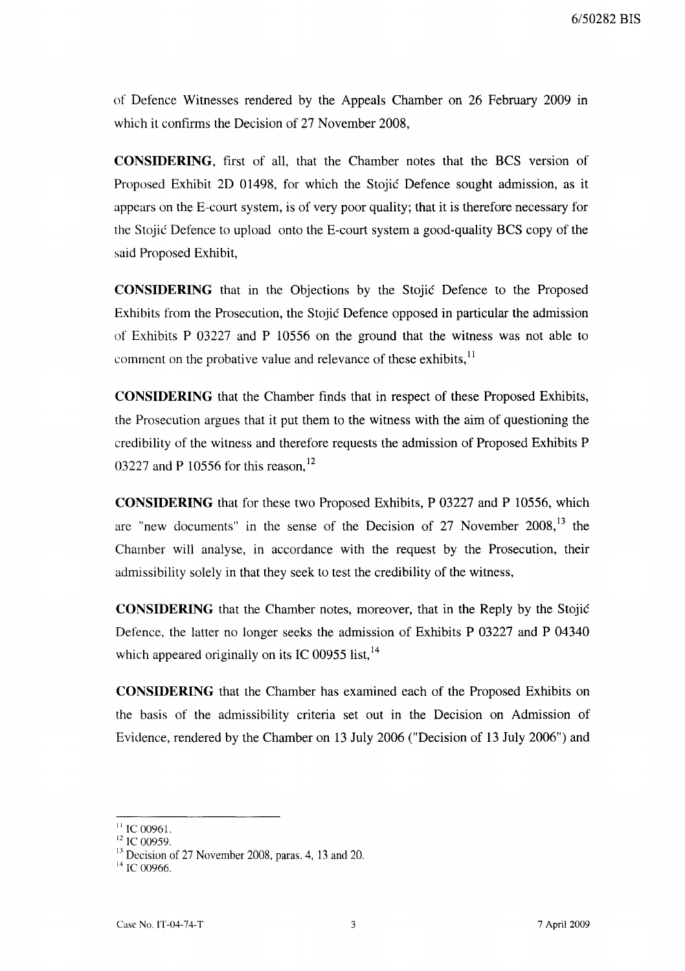of Defence Witnesses rendered by the Appeals Chamber on 26 February 2009 in which it confirms the Decision of 27 November 2008,

**CONSIDERING,** first of all, that the Chamber notes that the BCS version of Proposed Exhibit 2D 01498, for which the Stojić Defence sought admission, as it appears on the E-court system, is of very poor quality; that it is therefore necessary for the Stojić Defence to upload onto the E-court system a good-quality BCS copy of the said Proposed Exhibit,

**CONSIDERING** that in the Objections by the Stojić Defence to the Proposed Exhibits from the Prosecution, the Stojić Defence opposed in particular the admission of Exhibits P 03227 and P 10556 on the ground that the witness was not able to comment on the probative value and relevance of these exhibits, $11$ 

**CONSIDERING** that the Chamber finds that in respect of these Proposed Exhibits, the Prosecution argues that it put them to the witness with the aim of questioning the credibility of the witness and therefore requests the admission of Proposed Exhibits P 03227 and P 10556 for this reason.<sup>12</sup>

**CONSIDERING** that for these two Proposed Exhibits, P 03227 and P 10556, which are "new documents" in the sense of the Decision of 27 November 2008,<sup>13</sup> the Chamber will analyse, in accordance with the request by the Prosecution, their admissibility solely in that they seek to test the credibility of the witness,

**CONSIDERING** that the Chamber notes, moreover, that in the Reply by the Stojić Defence, the latter no longer seeks the admission of Exhibits P 03227 and P 04340 which appeared originally on its IC 00955 list,  $14$ 

**CONSIDERING** that the Chamber has examined each of the Proposed Exhibits on the basis of the admissibility criteria set out in the Decision on Admission of Evidence, rendered by the Chamber on 13 July 2006 ("Decision of 13 July 2006") and

 $\frac{11}{1}$  IC 00961.

<sup>&</sup>lt;sup>12</sup> IC 00959.

 $13$  Decision of 27 November 2008, paras. 4, 13 and 20.

 $14$  IC 00966.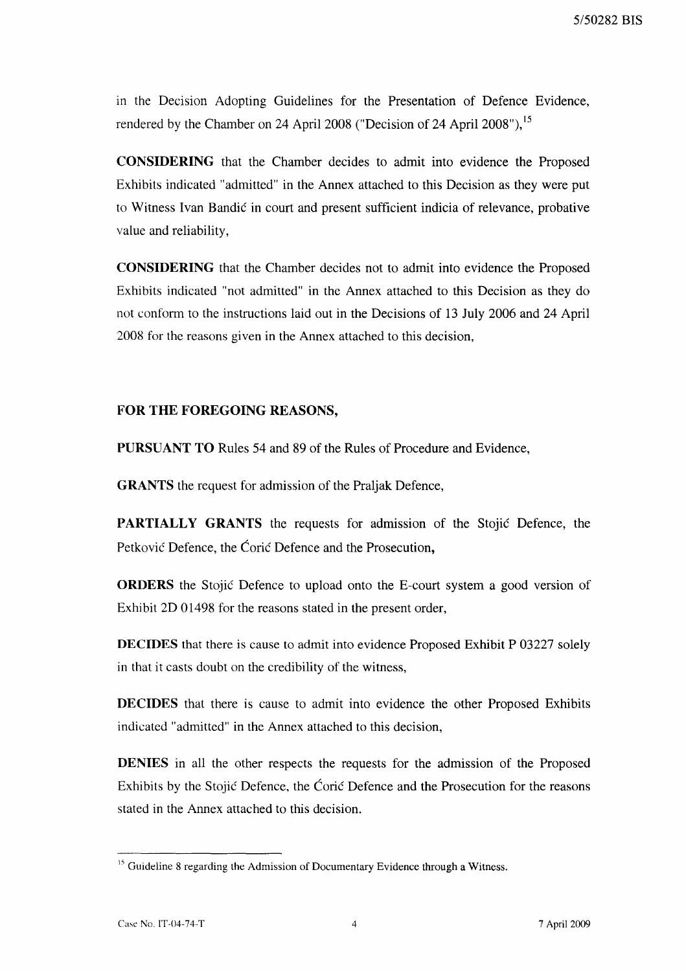in the Decision Adopting Guidelines for the Presentation of Defence Evidence, rendered by the Chamber on 24 April 2008 ("Decision of 24 April 2008"), <sup>15</sup>

**CONSIDERING** that the Chamber decides to admit into evidence the Proposed Exhibits indicated "admitted" in the Annex attached to this Decision as they were put to Witness Ivan Bandić in court and present sufficient indicia of relevance, probative value and reliability,

**CONSIDERING** that the Chamber decides not to admit into evidence the Proposed Exhibits indicated "not admitted" in the Annex attached to this Decision as they do not conform to the instructions laid out in the Decisions of 13 July 2006 and 24 April 2008 for the reasons given in the Annex attached to this decision,

# **FOR THE FOREGOING REASONS,**

**PURSUANT TO** Rules 54 and 89 of the Rules of Procedure and Evidence,

**GRANTS** the request for admission of the Praljak Defence,

**PARTIALLY GRANTS** the requests for admission of the Stojić Defence, the Petković Defence, the Ćorić Defence and the Prosecution,

**ORDERS** the Stojić Defence to upload onto the E-court system a good version of Exhibit 2D 01498 for the reasons stated in the present order,

**DECIDES** that there is cause to admit into evidence Proposed Exhibit P 03227 solely in that it casts doubt on the credibility of the witness,

**DECIDES** that there is cause to admit into evidence the other Proposed Exhibits indicated "admitted" in the Annex attached to this decision,

**DENlES** in all the other respects the requests for the admission of the Proposed Exhibits by the Stojić Defence, the Ćorić Defence and the Prosecution for the reasons stated in the Annex attached to this decision.

 $<sup>15</sup>$  Guideline 8 regarding the Admission of Documentary Evidence through a Witness.</sup>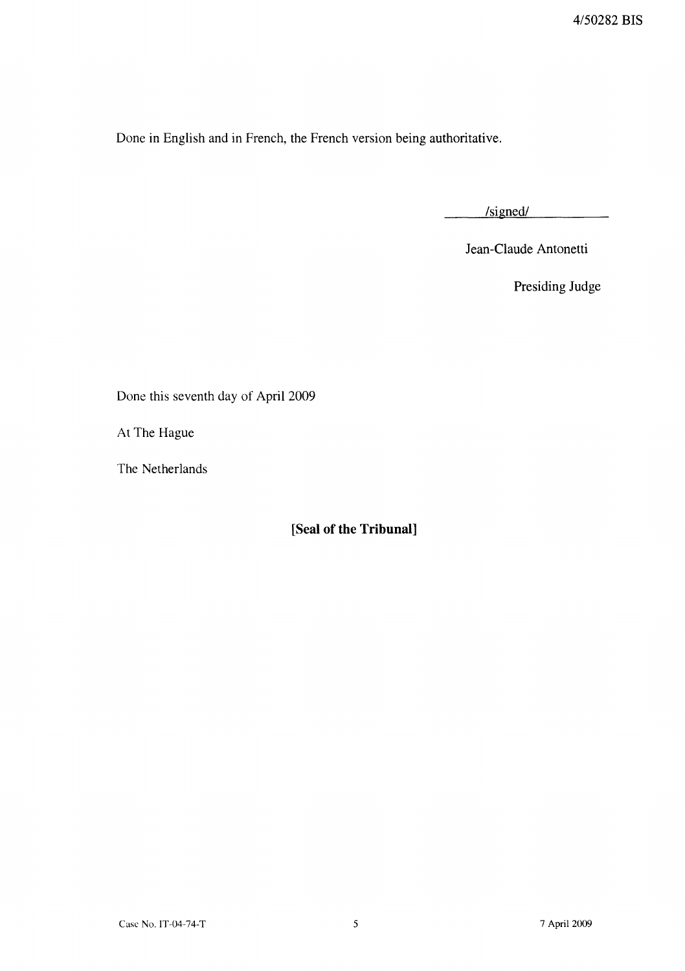Done in English and in French, the French version being authoritative.

 $/signed/$  $\mathcal{L}$  and  $\mathcal{L}$  and  $\mathcal{L}$ 

Jean-Claude Antonetti

Presiding Judge

Done this seventh day of April 2009

At The Hague

The Netherlands

**[Seal of the Tribunal]**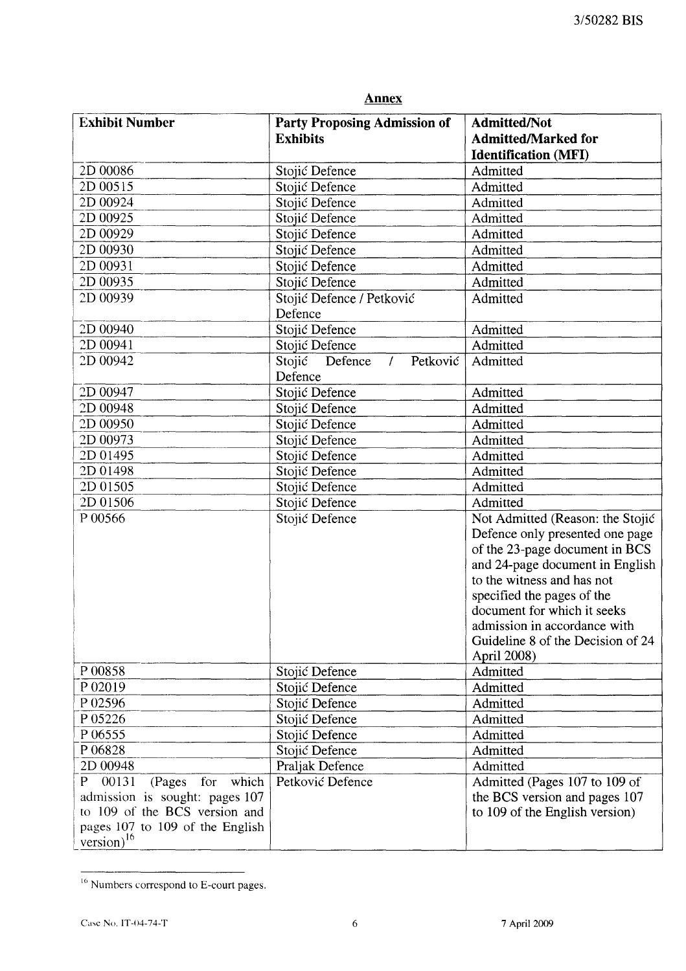| <b>Annex</b>                                                                                                                                                          |                                                        |                                                                                                                                                                                                                                                                                                                         |  |
|-----------------------------------------------------------------------------------------------------------------------------------------------------------------------|--------------------------------------------------------|-------------------------------------------------------------------------------------------------------------------------------------------------------------------------------------------------------------------------------------------------------------------------------------------------------------------------|--|
| <b>Exhibit Number</b>                                                                                                                                                 | <b>Party Proposing Admission of</b><br><b>Exhibits</b> | <b>Admitted/Not</b><br><b>Admitted/Marked for</b><br><b>Identification (MFI)</b>                                                                                                                                                                                                                                        |  |
| 2D 00086                                                                                                                                                              | Stojić Defence                                         | Admitted                                                                                                                                                                                                                                                                                                                |  |
| 2D 00515                                                                                                                                                              | Stojić Defence                                         | Admitted                                                                                                                                                                                                                                                                                                                |  |
| 2D 00924                                                                                                                                                              | Stojić Defence                                         | Admitted                                                                                                                                                                                                                                                                                                                |  |
| 2D 00925                                                                                                                                                              | Stojić Defence                                         | Admitted                                                                                                                                                                                                                                                                                                                |  |
| 2D 00929                                                                                                                                                              | Stojić Defence                                         | Admitted                                                                                                                                                                                                                                                                                                                |  |
| 2D 00930                                                                                                                                                              | Stojić Defence                                         | Admitted                                                                                                                                                                                                                                                                                                                |  |
| 2D 00931                                                                                                                                                              | Stojić Defence                                         | Admitted                                                                                                                                                                                                                                                                                                                |  |
| 2D 00935                                                                                                                                                              | Stojić Defence                                         | Admitted                                                                                                                                                                                                                                                                                                                |  |
| 2D 00939                                                                                                                                                              | Stojić Defence / Petković<br>Defence                   | Admitted                                                                                                                                                                                                                                                                                                                |  |
| 2D 00940                                                                                                                                                              | Stojić Defence                                         | Admitted                                                                                                                                                                                                                                                                                                                |  |
| 2D 00941                                                                                                                                                              | Stojić Defence                                         | Admitted                                                                                                                                                                                                                                                                                                                |  |
| 2D 00942                                                                                                                                                              | Stojić Defence<br>Petković<br>$\prime$<br>Defence      | Admitted                                                                                                                                                                                                                                                                                                                |  |
| 2D 00947                                                                                                                                                              | Stojić Defence                                         | Admitted                                                                                                                                                                                                                                                                                                                |  |
| 2D 00948                                                                                                                                                              | Stojić Defence                                         | Admitted                                                                                                                                                                                                                                                                                                                |  |
| 2D 00950                                                                                                                                                              | Stojić Defence                                         | Admitted                                                                                                                                                                                                                                                                                                                |  |
| 2D 00973                                                                                                                                                              | Stojić Defence                                         | Admitted                                                                                                                                                                                                                                                                                                                |  |
| 2D 01495                                                                                                                                                              | Stojić Defence                                         | Admitted                                                                                                                                                                                                                                                                                                                |  |
| 2D 01498                                                                                                                                                              | Stojić Defence                                         | Admitted                                                                                                                                                                                                                                                                                                                |  |
| 2D 01505                                                                                                                                                              | Stojić Defence                                         | Admitted                                                                                                                                                                                                                                                                                                                |  |
| 2D 01506                                                                                                                                                              | Stojić Defence                                         | Admitted                                                                                                                                                                                                                                                                                                                |  |
| P 00566                                                                                                                                                               | Stojić Defence                                         | Not Admitted (Reason: the Stojić<br>Defence only presented one page<br>of the 23-page document in BCS<br>and 24-page document in English<br>to the witness and has not<br>specified the pages of the<br>document for which it seeks<br>admission in accordance with<br>Guideline 8 of the Decision of 24<br>April 2008) |  |
| P 00858                                                                                                                                                               | Stojić Defence                                         | Admitted                                                                                                                                                                                                                                                                                                                |  |
| P 02019                                                                                                                                                               | Stojić Defence                                         | Admitted                                                                                                                                                                                                                                                                                                                |  |
| P 02596                                                                                                                                                               | Stojić Defence                                         | Admitted                                                                                                                                                                                                                                                                                                                |  |
| P 05226                                                                                                                                                               | Stojić Defence                                         | Admitted                                                                                                                                                                                                                                                                                                                |  |
| P 06555                                                                                                                                                               | Stojić Defence                                         | Admitted                                                                                                                                                                                                                                                                                                                |  |
| P06828                                                                                                                                                                | Stojić Defence                                         | Admitted                                                                                                                                                                                                                                                                                                                |  |
| 2D 00948                                                                                                                                                              | Praljak Defence                                        | Admitted                                                                                                                                                                                                                                                                                                                |  |
| 00131<br>P.<br>which<br>(Pages<br>for<br>admission is sought: pages 107<br>to 109 of the BCS version and<br>pages 107 to 109 of the English<br>version) <sup>16</sup> | Petković Defence                                       | Admitted (Pages 107 to 109 of<br>the BCS version and pages 107<br>to 109 of the English version)                                                                                                                                                                                                                        |  |

 $16$  Numbers correspond to E-court pages.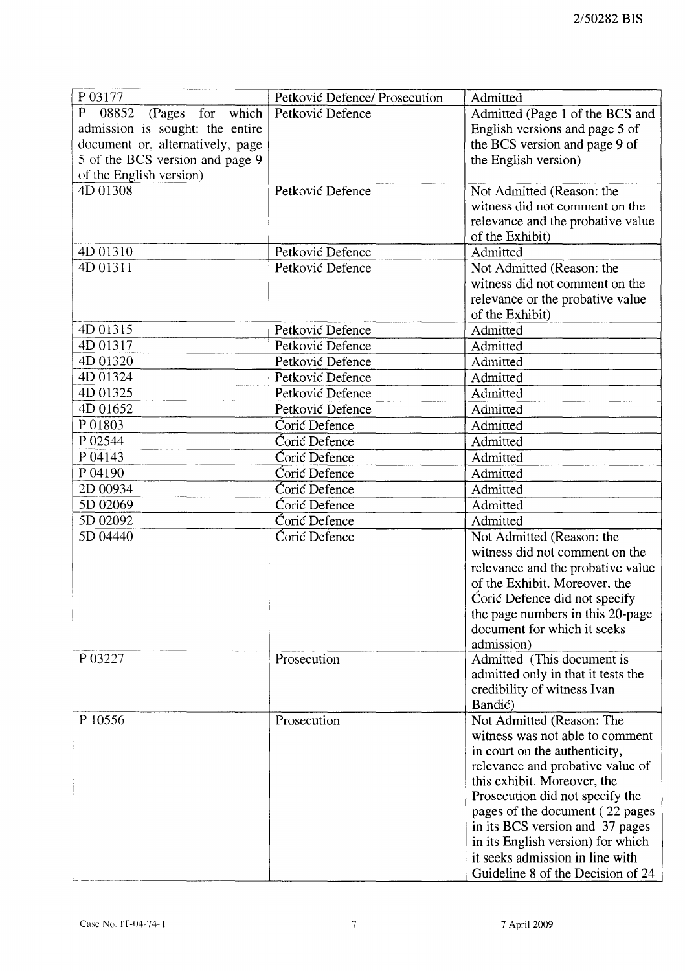| P03177                           | Petković Defence/ Prosecution | Admitted                                                    |
|----------------------------------|-------------------------------|-------------------------------------------------------------|
| P<br>08852<br>(Pages for which   | Petković Defence              | Admitted (Page 1 of the BCS and                             |
| admission is sought: the entire  |                               | English versions and page 5 of                              |
| document or, alternatively, page |                               | the BCS version and page 9 of                               |
| 5 of the BCS version and page 9  |                               | the English version)                                        |
| of the English version)          |                               |                                                             |
| 4D 01308                         | Petković Defence              | Not Admitted (Reason: the<br>witness did not comment on the |
|                                  |                               | relevance and the probative value<br>of the Exhibit)        |
| 4D 01310                         | Petković Defence              | Admitted                                                    |
| 4D 01311                         | Petković Defence              | Not Admitted (Reason: the                                   |
|                                  |                               | witness did not comment on the                              |
|                                  |                               | relevance or the probative value                            |
|                                  |                               | of the Exhibit)                                             |
| 4D 01315                         | Petković Defence              | Admitted                                                    |
| 4D 01317                         | Petković Defence              | Admitted                                                    |
| 4D 01320                         | Petković Defence              | Admitted                                                    |
| 4D 01324                         | Petković Defence              | Admitted                                                    |
| 4D 01325                         | Petković Defence              | Admitted                                                    |
| 4D 01652                         | Petković Defence              | Admitted                                                    |
| P 01803                          | Ćorić Defence                 | Admitted                                                    |
| P 02544                          | Corić Defence                 | Admitted                                                    |
| P 04143                          | Corić Defence                 | Admitted                                                    |
| P 04190                          | Corić Defence                 | Admitted                                                    |
| 2D 00934                         | Ćorić Defence                 | Admitted                                                    |
| 5D 02069                         | Ćorić Defence                 | Admitted                                                    |
| 5D 02092                         | Corić Defence                 | Admitted                                                    |
| 5D 04440                         | Ćorić Defence                 | Not Admitted (Reason: the                                   |
|                                  |                               | witness did not comment on the                              |
|                                  |                               | relevance and the probative value                           |
|                                  |                               | of the Exhibit. Moreover, the                               |
|                                  |                               | Coric Defence did not specify                               |
|                                  |                               | the page numbers in this 20-page                            |
|                                  |                               | document for which it seeks                                 |
|                                  |                               | admission)                                                  |
| P 03227                          | Prosecution                   | Admitted (This document is                                  |
|                                  |                               | admitted only in that it tests the                          |
|                                  |                               | credibility of witness Ivan                                 |
|                                  |                               | Bandić)                                                     |
| P 10556                          | Prosecution                   | Not Admitted (Reason: The                                   |
|                                  |                               | witness was not able to comment                             |
|                                  |                               | in court on the authenticity,                               |
|                                  |                               | relevance and probative value of                            |
|                                  |                               | this exhibit. Moreover, the                                 |
|                                  |                               | Prosecution did not specify the                             |
|                                  |                               | pages of the document (22 pages                             |
|                                  |                               | in its BCS version and 37 pages                             |
|                                  |                               | in its English version) for which                           |
|                                  |                               | it seeks admission in line with                             |
|                                  |                               | Guideline 8 of the Decision of 24                           |